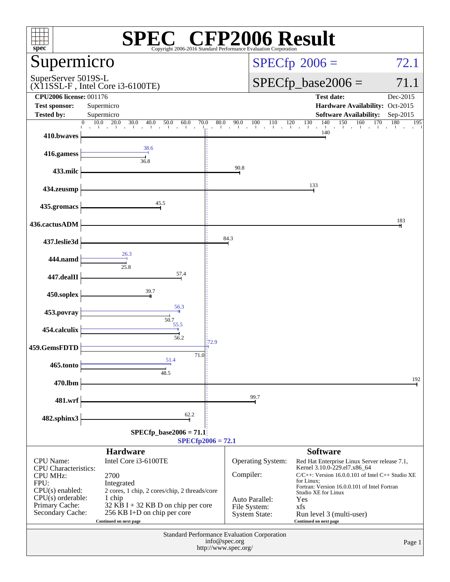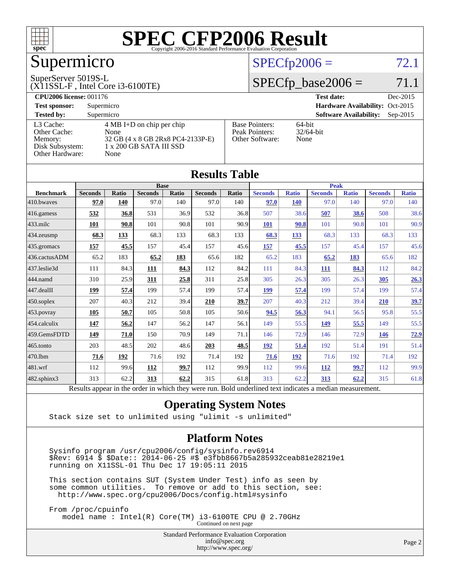

# Supermicro

#### SuperServer 5019S-L

(X11SSL-F , Intel Core i3-6100TE)

#### $SPECfp2006 = 72.1$  $SPECfp2006 = 72.1$

#### $SPECfp\_base2006 = 71.1$

| <b>CPU2006 license: 001176</b> |                                     |                                 | <b>Test date:</b><br>Dec-2015               |
|--------------------------------|-------------------------------------|---------------------------------|---------------------------------------------|
| <b>Test sponsor:</b>           | Supermicro                          | Hardware Availability: Oct-2015 |                                             |
| <b>Tested by:</b>              | Supermicro                          |                                 | <b>Software Availability:</b><br>$Sep-2015$ |
| L3 Cache:                      | $4 \text{ MB I+D}$ on chip per chip | <b>Base Pointers:</b>           | $64$ -bit                                   |
| Other Cache:                   | None                                | Peak Pointers:                  | $32/64$ -bit                                |
| Memory:                        | 32 GB (4 x 8 GB 2Rx8 PC4-2133P-E)   | Other Software:                 | None                                        |
| Disk Subsystem:                | 1 x 200 GB SATA III SSD             |                                 |                                             |
| Other Hardware:                | None                                |                                 |                                             |

**[Results Table](http://www.spec.org/auto/cpu2006/Docs/result-fields.html#ResultsTable)**

| Results Table     |                                                                                                          |       |                |       |                |       |                |              |                |              |                |              |
|-------------------|----------------------------------------------------------------------------------------------------------|-------|----------------|-------|----------------|-------|----------------|--------------|----------------|--------------|----------------|--------------|
|                   | <b>Base</b>                                                                                              |       |                |       | <b>Peak</b>    |       |                |              |                |              |                |              |
| <b>Benchmark</b>  | <b>Seconds</b>                                                                                           | Ratio | <b>Seconds</b> | Ratio | <b>Seconds</b> | Ratio | <b>Seconds</b> | <b>Ratio</b> | <b>Seconds</b> | <b>Ratio</b> | <b>Seconds</b> | <b>Ratio</b> |
| 410.bwayes        | 97.0                                                                                                     | 140   | 97.0           | 140   | 97.0           | 140   | 97.0           | <b>140</b>   | 97.0           | 140          | 97.0           | 140          |
| 416.gamess        | 532                                                                                                      | 36.8  | 531            | 36.9  | 532            | 36.8  | 507            | 38.6         | 507            | 38.6         | 508            | 38.6         |
| 433.milc          | 101                                                                                                      | 90.8  | 101            | 90.8  | 101            | 90.9  | <b>101</b>     | 90.8         | 101            | 90.8         | 101            | 90.9         |
| 434.zeusmp        | 68.3                                                                                                     | 133   | 68.3           | 133   | 68.3           | 133   | 68.3           | 133          | 68.3           | 133          | 68.3           | 133          |
| 435 gromacs       | 157                                                                                                      | 45.5  | 157            | 45.4  | 157            | 45.6  | 157            | 45.5         | 157            | 45.4         | 157            | 45.6         |
| 436.cactusADM     | 65.2                                                                                                     | 183   | 65.2           | 183   | 65.6           | 182   | 65.2           | 183          | 65.2           | 183          | 65.6           | 182          |
| 437.leslie3d      | 111                                                                                                      | 84.3  | 111            | 84.3  | 112            | 84.2  | 111            | 84.3         | 111            | 84.3         | 112            | 84.2         |
| 444.namd          | 310                                                                                                      | 25.9  | 311            | 25.8  | 311            | 25.8  | 305            | 26.3         | 305            | 26.3         | 305            | 26.3         |
| 447.dealII        | 199                                                                                                      | 57.4  | 199            | 57.4  | 199            | 57.4  | 199            | 57.4         | 199            | 57.4         | 199            | 57.4         |
| $450$ .soplex     | 207                                                                                                      | 40.3  | 212            | 39.4  | 210            | 39.7  | 207            | 40.3         | 212            | 39.4         | 210            | 39.7         |
| 453.povray        | 105                                                                                                      | 50.7  | 105            | 50.8  | 105            | 50.6  | 94.5           | 56.3         | 94.1           | 56.5         | 95.8           | 55.5         |
| 454.calculix      | <u>147</u>                                                                                               | 56.2  | 147            | 56.2  | 147            | 56.1  | 149            | 55.5         | 149            | 55.5         | 149            | 55.5         |
| 459.GemsFDTD      | 149                                                                                                      | 71.0  | 150            | 70.9  | 149            | 71.1  | 146            | 72.9         | 146            | 72.9         | 146            | 72.9         |
| $465$ .tonto      | 203                                                                                                      | 48.5  | 202            | 48.6  | 203            | 48.5  | <u>192</u>     | 51.4         | 192            | 51.4         | 191            | 51.4         |
| 470.1bm           | 71.6                                                                                                     | 192   | 71.6           | 192   | 71.4           | 192   | 71.6           | 192          | 71.6           | 192          | 71.4           | 192          |
| 481.wrf           | 112                                                                                                      | 99.6  | <u>112</u>     | 99.7  | 112            | 99.9  | 112            | 99.6         | <u>112</u>     | 99.7         | 112            | 99.9         |
| $482$ .sphinx $3$ | 313                                                                                                      | 62.2  | 313            | 62.2  | 315            | 61.8  | 313            | 62.2         | 313            | 62.2         | 315            | 61.8         |
|                   | Results appear in the order in which they were run. Bold underlined text indicates a median measurement. |       |                |       |                |       |                |              |                |              |                |              |

#### **[Operating System Notes](http://www.spec.org/auto/cpu2006/Docs/result-fields.html#OperatingSystemNotes)**

Stack size set to unlimited using "ulimit -s unlimited"

#### **[Platform Notes](http://www.spec.org/auto/cpu2006/Docs/result-fields.html#PlatformNotes)**

 Sysinfo program /usr/cpu2006/config/sysinfo.rev6914 \$Rev: 6914 \$ \$Date:: 2014-06-25 #\$ e3fbb8667b5a285932ceab81e28219e1 running on X11SSL-01 Thu Dec 17 19:05:11 2015

 This section contains SUT (System Under Test) info as seen by some common utilities. To remove or add to this section, see: <http://www.spec.org/cpu2006/Docs/config.html#sysinfo>

 From /proc/cpuinfo model name : Intel(R) Core(TM) i3-6100TE CPU @ 2.70GHz

Continued on next page

Standard Performance Evaluation Corporation [info@spec.org](mailto:info@spec.org) <http://www.spec.org/>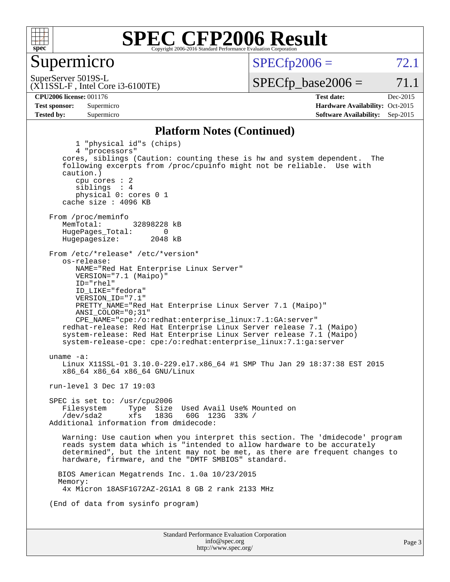

#### Supermicro

 $SPECTp2006 = 72.1$ 

(X11SSL-F , Intel Core i3-6100TE) SuperServer 5019S-L

 $SPECTp\_base2006 = 71.1$ 

Page 3

**[CPU2006 license:](http://www.spec.org/auto/cpu2006/Docs/result-fields.html#CPU2006license)** 001176 **[Test date:](http://www.spec.org/auto/cpu2006/Docs/result-fields.html#Testdate)** Dec-2015 **[Test sponsor:](http://www.spec.org/auto/cpu2006/Docs/result-fields.html#Testsponsor)** Supermicro Supermicro **[Hardware Availability:](http://www.spec.org/auto/cpu2006/Docs/result-fields.html#HardwareAvailability)** Oct-2015 **[Tested by:](http://www.spec.org/auto/cpu2006/Docs/result-fields.html#Testedby)** Supermicro **Supermicro [Software Availability:](http://www.spec.org/auto/cpu2006/Docs/result-fields.html#SoftwareAvailability)** Sep-2015

#### **[Platform Notes \(Continued\)](http://www.spec.org/auto/cpu2006/Docs/result-fields.html#PlatformNotes)**

Standard Performance Evaluation Corporation [info@spec.org](mailto:info@spec.org) 1 "physical id"s (chips) 4 "processors" cores, siblings (Caution: counting these is hw and system dependent. The following excerpts from /proc/cpuinfo might not be reliable. Use with caution.) cpu cores : 2 siblings : 4 physical 0: cores 0 1 cache size : 4096 KB From /proc/meminfo<br>MemTotal: 32898228 kB HugePages\_Total: 0<br>Hugepagesize: 2048 kB Hugepagesize: From /etc/\*release\* /etc/\*version\* os-release: NAME="Red Hat Enterprise Linux Server" VERSION="7.1 (Maipo)" ID="rhel" ID\_LIKE="fedora" VERSION\_ID="7.1" PRETTY\_NAME="Red Hat Enterprise Linux Server 7.1 (Maipo)" ANSI\_COLOR="0;31" CPE\_NAME="cpe:/o:redhat:enterprise\_linux:7.1:GA:server" redhat-release: Red Hat Enterprise Linux Server release 7.1 (Maipo) system-release: Red Hat Enterprise Linux Server release 7.1 (Maipo) system-release-cpe: cpe:/o:redhat:enterprise\_linux:7.1:ga:server uname -a: Linux X11SSL-01 3.10.0-229.el7.x86\_64 #1 SMP Thu Jan 29 18:37:38 EST 2015 x86\_64 x86\_64 x86\_64 GNU/Linux run-level 3 Dec 17 19:03 SPEC is set to: /usr/cpu2006 Filesystem Type Size Used Avail Use% Mounted on<br>
/dev/sda2 xfs 183G 60G 123G 33% /  $60G$  123G 33% / Additional information from dmidecode: Warning: Use caution when you interpret this section. The 'dmidecode' program reads system data which is "intended to allow hardware to be accurately determined", but the intent may not be met, as there are frequent changes to hardware, firmware, and the "DMTF SMBIOS" standard. BIOS American Megatrends Inc. 1.0a 10/23/2015 Memory: 4x Micron 18ASF1G72AZ-2G1A1 8 GB 2 rank 2133 MHz (End of data from sysinfo program)

<http://www.spec.org/>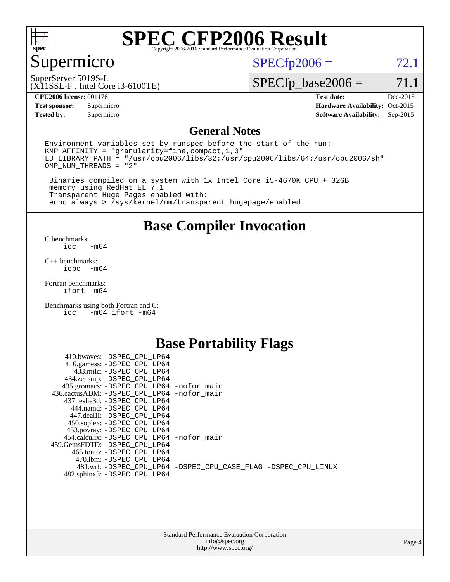

### Supermicro

 $SPECfp2006 = 72.1$  $SPECfp2006 = 72.1$ 

(X11SSL-F , Intel Core i3-6100TE) SuperServer 5019S-L

 $SPECfp\_base2006 = 71.1$ 

**[CPU2006 license:](http://www.spec.org/auto/cpu2006/Docs/result-fields.html#CPU2006license)** 001176 **[Test date:](http://www.spec.org/auto/cpu2006/Docs/result-fields.html#Testdate)** Dec-2015

**[Tested by:](http://www.spec.org/auto/cpu2006/Docs/result-fields.html#Testedby)** Supermicro **[Software Availability:](http://www.spec.org/auto/cpu2006/Docs/result-fields.html#SoftwareAvailability)** Sep-2015

**[Test sponsor:](http://www.spec.org/auto/cpu2006/Docs/result-fields.html#Testsponsor)** Supermicro Supermicro **[Hardware Availability:](http://www.spec.org/auto/cpu2006/Docs/result-fields.html#HardwareAvailability)** Oct-2015

#### **[General Notes](http://www.spec.org/auto/cpu2006/Docs/result-fields.html#GeneralNotes)**

Environment variables set by runspec before the start of the run: KMP\_AFFINITY = "granularity=fine,compact,1,0"  $LD$ <sup>LIBRARY\_PATH = "/usr/cpu2006/libs/32:/usr/cpu2006/libs/64:/usr/cpu2006/sh"</sup> OMP\_NUM\_THREADS = "2"

 Binaries compiled on a system with 1x Intel Core i5-4670K CPU + 32GB memory using RedHat EL 7.1 Transparent Huge Pages enabled with: echo always > /sys/kernel/mm/transparent\_hugepage/enabled

#### **[Base Compiler Invocation](http://www.spec.org/auto/cpu2006/Docs/result-fields.html#BaseCompilerInvocation)**

[C benchmarks](http://www.spec.org/auto/cpu2006/Docs/result-fields.html#Cbenchmarks):  $-m64$ 

[C++ benchmarks:](http://www.spec.org/auto/cpu2006/Docs/result-fields.html#CXXbenchmarks) [icpc -m64](http://www.spec.org/cpu2006/results/res2016q1/cpu2006-20151223-38493.flags.html#user_CXXbase_intel_icpc_64bit_bedb90c1146cab66620883ef4f41a67e)

[Fortran benchmarks](http://www.spec.org/auto/cpu2006/Docs/result-fields.html#Fortranbenchmarks): [ifort -m64](http://www.spec.org/cpu2006/results/res2016q1/cpu2006-20151223-38493.flags.html#user_FCbase_intel_ifort_64bit_ee9d0fb25645d0210d97eb0527dcc06e)

[Benchmarks using both Fortran and C](http://www.spec.org/auto/cpu2006/Docs/result-fields.html#BenchmarksusingbothFortranandC): [icc -m64](http://www.spec.org/cpu2006/results/res2016q1/cpu2006-20151223-38493.flags.html#user_CC_FCbase_intel_icc_64bit_0b7121f5ab7cfabee23d88897260401c) [ifort -m64](http://www.spec.org/cpu2006/results/res2016q1/cpu2006-20151223-38493.flags.html#user_CC_FCbase_intel_ifort_64bit_ee9d0fb25645d0210d97eb0527dcc06e)

#### **[Base Portability Flags](http://www.spec.org/auto/cpu2006/Docs/result-fields.html#BasePortabilityFlags)**

| 410.bwaves: -DSPEC CPU LP64                 |                                                                |
|---------------------------------------------|----------------------------------------------------------------|
| 416.gamess: -DSPEC_CPU_LP64                 |                                                                |
| 433.milc: -DSPEC CPU LP64                   |                                                                |
| 434.zeusmp: -DSPEC_CPU_LP64                 |                                                                |
| 435.gromacs: -DSPEC_CPU_LP64 -nofor_main    |                                                                |
| 436.cactusADM: -DSPEC CPU LP64 -nofor main  |                                                                |
| 437.leslie3d: -DSPEC CPU LP64               |                                                                |
| 444.namd: -DSPEC CPU LP64                   |                                                                |
| 447.dealII: -DSPEC CPU LP64                 |                                                                |
| 450.soplex: -DSPEC_CPU_LP64                 |                                                                |
| 453.povray: -DSPEC CPU LP64                 |                                                                |
| 454.calculix: - DSPEC CPU LP64 - nofor main |                                                                |
| 459. GemsFDTD: - DSPEC CPU LP64             |                                                                |
| 465.tonto: - DSPEC CPU LP64                 |                                                                |
| 470.1bm: -DSPEC CPU LP64                    |                                                                |
|                                             | 481.wrf: -DSPEC CPU_LP64 -DSPEC_CPU_CASE_FLAG -DSPEC_CPU_LINUX |
| 482.sphinx3: -DSPEC_CPU_LP64                |                                                                |
|                                             |                                                                |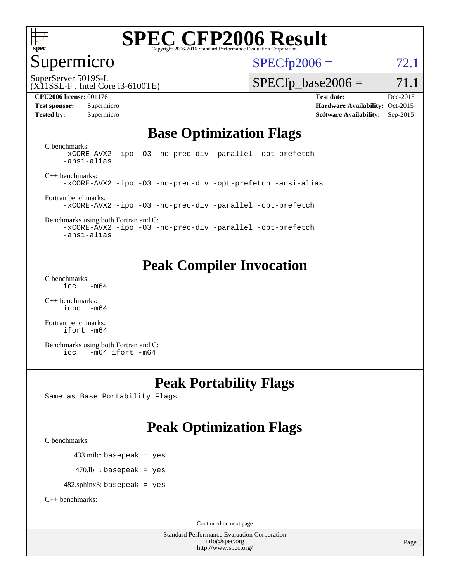

### Supermicro

 $SPECTp2006 = 72.1$ 

SuperServer 5019S-L

#### (X11SSL-F , Intel Core i3-6100TE)

**[Test sponsor:](http://www.spec.org/auto/cpu2006/Docs/result-fields.html#Testsponsor)** Supermicro Supermicro **[Hardware Availability:](http://www.spec.org/auto/cpu2006/Docs/result-fields.html#HardwareAvailability)** Oct-2015 **[Tested by:](http://www.spec.org/auto/cpu2006/Docs/result-fields.html#Testedby)** Supermicro **Supermicro [Software Availability:](http://www.spec.org/auto/cpu2006/Docs/result-fields.html#SoftwareAvailability)** Sep-2015

 $SPECTp\_base2006 = 71.1$ 

**[CPU2006 license:](http://www.spec.org/auto/cpu2006/Docs/result-fields.html#CPU2006license)** 001176 **[Test date:](http://www.spec.org/auto/cpu2006/Docs/result-fields.html#Testdate)** Dec-2015

### **[Base Optimization Flags](http://www.spec.org/auto/cpu2006/Docs/result-fields.html#BaseOptimizationFlags)**

[C benchmarks](http://www.spec.org/auto/cpu2006/Docs/result-fields.html#Cbenchmarks): [-xCORE-AVX2](http://www.spec.org/cpu2006/results/res2016q1/cpu2006-20151223-38493.flags.html#user_CCbase_f-xAVX2_5f5fc0cbe2c9f62c816d3e45806c70d7) [-ipo](http://www.spec.org/cpu2006/results/res2016q1/cpu2006-20151223-38493.flags.html#user_CCbase_f-ipo) [-O3](http://www.spec.org/cpu2006/results/res2016q1/cpu2006-20151223-38493.flags.html#user_CCbase_f-O3) [-no-prec-div](http://www.spec.org/cpu2006/results/res2016q1/cpu2006-20151223-38493.flags.html#user_CCbase_f-no-prec-div) [-parallel](http://www.spec.org/cpu2006/results/res2016q1/cpu2006-20151223-38493.flags.html#user_CCbase_f-parallel) [-opt-prefetch](http://www.spec.org/cpu2006/results/res2016q1/cpu2006-20151223-38493.flags.html#user_CCbase_f-opt-prefetch) [-ansi-alias](http://www.spec.org/cpu2006/results/res2016q1/cpu2006-20151223-38493.flags.html#user_CCbase_f-ansi-alias)

[C++ benchmarks:](http://www.spec.org/auto/cpu2006/Docs/result-fields.html#CXXbenchmarks) [-xCORE-AVX2](http://www.spec.org/cpu2006/results/res2016q1/cpu2006-20151223-38493.flags.html#user_CXXbase_f-xAVX2_5f5fc0cbe2c9f62c816d3e45806c70d7) [-ipo](http://www.spec.org/cpu2006/results/res2016q1/cpu2006-20151223-38493.flags.html#user_CXXbase_f-ipo) [-O3](http://www.spec.org/cpu2006/results/res2016q1/cpu2006-20151223-38493.flags.html#user_CXXbase_f-O3) [-no-prec-div](http://www.spec.org/cpu2006/results/res2016q1/cpu2006-20151223-38493.flags.html#user_CXXbase_f-no-prec-div) [-opt-prefetch](http://www.spec.org/cpu2006/results/res2016q1/cpu2006-20151223-38493.flags.html#user_CXXbase_f-opt-prefetch) [-ansi-alias](http://www.spec.org/cpu2006/results/res2016q1/cpu2006-20151223-38493.flags.html#user_CXXbase_f-ansi-alias)

[Fortran benchmarks](http://www.spec.org/auto/cpu2006/Docs/result-fields.html#Fortranbenchmarks): [-xCORE-AVX2](http://www.spec.org/cpu2006/results/res2016q1/cpu2006-20151223-38493.flags.html#user_FCbase_f-xAVX2_5f5fc0cbe2c9f62c816d3e45806c70d7) [-ipo](http://www.spec.org/cpu2006/results/res2016q1/cpu2006-20151223-38493.flags.html#user_FCbase_f-ipo) [-O3](http://www.spec.org/cpu2006/results/res2016q1/cpu2006-20151223-38493.flags.html#user_FCbase_f-O3) [-no-prec-div](http://www.spec.org/cpu2006/results/res2016q1/cpu2006-20151223-38493.flags.html#user_FCbase_f-no-prec-div) [-parallel](http://www.spec.org/cpu2006/results/res2016q1/cpu2006-20151223-38493.flags.html#user_FCbase_f-parallel) [-opt-prefetch](http://www.spec.org/cpu2006/results/res2016q1/cpu2006-20151223-38493.flags.html#user_FCbase_f-opt-prefetch)

[Benchmarks using both Fortran and C](http://www.spec.org/auto/cpu2006/Docs/result-fields.html#BenchmarksusingbothFortranandC): [-xCORE-AVX2](http://www.spec.org/cpu2006/results/res2016q1/cpu2006-20151223-38493.flags.html#user_CC_FCbase_f-xAVX2_5f5fc0cbe2c9f62c816d3e45806c70d7) [-ipo](http://www.spec.org/cpu2006/results/res2016q1/cpu2006-20151223-38493.flags.html#user_CC_FCbase_f-ipo) [-O3](http://www.spec.org/cpu2006/results/res2016q1/cpu2006-20151223-38493.flags.html#user_CC_FCbase_f-O3) [-no-prec-div](http://www.spec.org/cpu2006/results/res2016q1/cpu2006-20151223-38493.flags.html#user_CC_FCbase_f-no-prec-div) [-parallel](http://www.spec.org/cpu2006/results/res2016q1/cpu2006-20151223-38493.flags.html#user_CC_FCbase_f-parallel) [-opt-prefetch](http://www.spec.org/cpu2006/results/res2016q1/cpu2006-20151223-38493.flags.html#user_CC_FCbase_f-opt-prefetch)

[-ansi-alias](http://www.spec.org/cpu2006/results/res2016q1/cpu2006-20151223-38493.flags.html#user_CC_FCbase_f-ansi-alias)

### **[Peak Compiler Invocation](http://www.spec.org/auto/cpu2006/Docs/result-fields.html#PeakCompilerInvocation)**

[C benchmarks](http://www.spec.org/auto/cpu2006/Docs/result-fields.html#Cbenchmarks):  $\text{icc}$   $-\text{m64}$ 

[C++ benchmarks:](http://www.spec.org/auto/cpu2006/Docs/result-fields.html#CXXbenchmarks) [icpc -m64](http://www.spec.org/cpu2006/results/res2016q1/cpu2006-20151223-38493.flags.html#user_CXXpeak_intel_icpc_64bit_bedb90c1146cab66620883ef4f41a67e)

[Fortran benchmarks](http://www.spec.org/auto/cpu2006/Docs/result-fields.html#Fortranbenchmarks): [ifort -m64](http://www.spec.org/cpu2006/results/res2016q1/cpu2006-20151223-38493.flags.html#user_FCpeak_intel_ifort_64bit_ee9d0fb25645d0210d97eb0527dcc06e)

[Benchmarks using both Fortran and C](http://www.spec.org/auto/cpu2006/Docs/result-fields.html#BenchmarksusingbothFortranandC): [icc -m64](http://www.spec.org/cpu2006/results/res2016q1/cpu2006-20151223-38493.flags.html#user_CC_FCpeak_intel_icc_64bit_0b7121f5ab7cfabee23d88897260401c) [ifort -m64](http://www.spec.org/cpu2006/results/res2016q1/cpu2006-20151223-38493.flags.html#user_CC_FCpeak_intel_ifort_64bit_ee9d0fb25645d0210d97eb0527dcc06e)

### **[Peak Portability Flags](http://www.spec.org/auto/cpu2006/Docs/result-fields.html#PeakPortabilityFlags)**

Same as Base Portability Flags

### **[Peak Optimization Flags](http://www.spec.org/auto/cpu2006/Docs/result-fields.html#PeakOptimizationFlags)**

[C benchmarks](http://www.spec.org/auto/cpu2006/Docs/result-fields.html#Cbenchmarks):

433.milc: basepeak = yes

 $470.$ lbm: basepeak = yes

482.sphinx3: basepeak = yes

[C++ benchmarks:](http://www.spec.org/auto/cpu2006/Docs/result-fields.html#CXXbenchmarks)

Continued on next page

Standard Performance Evaluation Corporation [info@spec.org](mailto:info@spec.org) <http://www.spec.org/>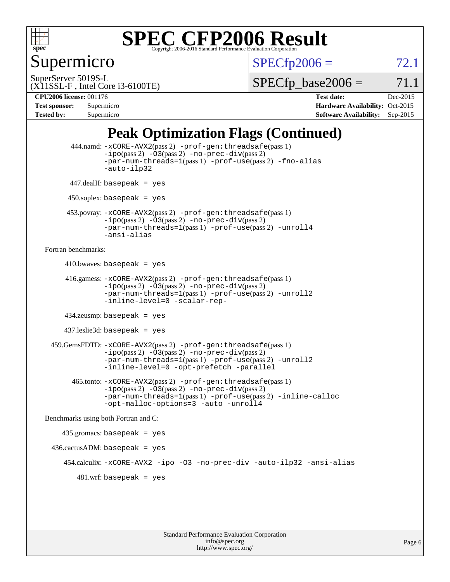

Supermicro

 $SPECTp2006 = 72.1$ 

SuperServer 5019S-L

 $SPECTp\_base2006 = 71.1$ 

#### (X11SSL-F , Intel Core i3-6100TE)

**[CPU2006 license:](http://www.spec.org/auto/cpu2006/Docs/result-fields.html#CPU2006license)** 001176 **[Test date:](http://www.spec.org/auto/cpu2006/Docs/result-fields.html#Testdate)** Dec-2015 **[Test sponsor:](http://www.spec.org/auto/cpu2006/Docs/result-fields.html#Testsponsor)** Supermicro **[Hardware Availability:](http://www.spec.org/auto/cpu2006/Docs/result-fields.html#HardwareAvailability)** Oct-2015 **[Tested by:](http://www.spec.org/auto/cpu2006/Docs/result-fields.html#Testedby)** Supermicro **Supermicro [Software Availability:](http://www.spec.org/auto/cpu2006/Docs/result-fields.html#SoftwareAvailability)** Sep-2015

### **[Peak Optimization Flags \(Continued\)](http://www.spec.org/auto/cpu2006/Docs/result-fields.html#PeakOptimizationFlags)**

```
 444.namd: -xCORE-AVX2(pass 2) -prof-gen:threadsafe(pass 1)
               -ipo(pass 2) -03(pass 2) -no-prec-div(pass 2)
               -par-num-threads=1(pass 1) -prof-use(pass 2) -fno-alias
               -auto-ilp32
      447.dealII: basepeak = yes
      450.soplex: basepeak = yes
      453.povray: -xCORE-AVX2(pass 2) -prof-gen:threadsafe(pass 1)
               -no-prec-div(pass 2)-par-num-threads=1(pass 1) -prof-use(pass 2) -unroll4
               -ansi-alias
Fortran benchmarks: 
     410.bwaves: basepeak = yes 416.gamess: -xCORE-AVX2(pass 2) -prof-gen:threadsafe(pass 1)
               -ipo(pass 2) -03(pass 2) -no-prec-div(pass 2)-par-num-threads=1(pass 1) -prof-use(pass 2) -unroll2
               -inline-level=0 -scalar-rep-
      434.zeusmp: basepeak = yes
     437.leslie3d: basepeak = yes
  459.GemsFDTD: -xCORE-AVX2(pass 2) -prof-gen:threadsafe(pass 1)
               -i\text{po}(pass 2) -\tilde{O}3(pass 2)-no-prec-div(pass 2)
               -par-num-threads=1(pass 1) -prof-use(pass 2) -unroll2
               -inline-level=0 -opt-prefetch -parallel
        465.tonto: -xCORE-AVX2(pass 2) -prof-gen:threadsafe(pass 1)
               -no-prec-div(pass 2)-par-num-threads=1(pass 1) -prof-use(pass 2) -inline-calloc
               -opt-malloc-options=3 -auto -unroll4
Benchmarks using both Fortran and C: 
     435.gromacs: basepeak = yes
 436.cactusADM:basepeak = yes 454.calculix: -xCORE-AVX2 -ipo -O3 -no-prec-div -auto-ilp32 -ansi-alias
        481.wrf: basepeak = yes
```